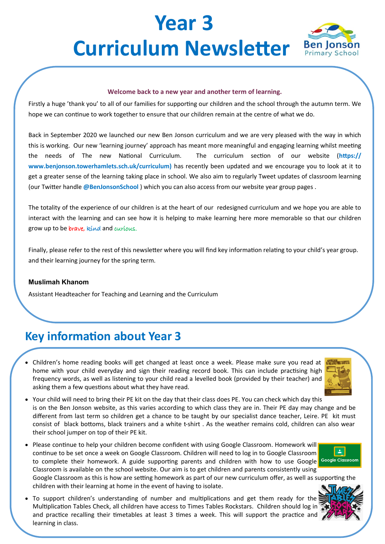# **Year 3 Curriculum Newsletter** Ben Jonson



#### **Welcome back to a new year and another term of learning.**

Firstly a huge 'thank you' to all of our families for supporting our children and the school through the autumn term. We hope we can continue to work together to ensure that our children remain at the centre of what we do.

Back in September 2020 we launched our new Ben Jonson curriculum and we are very pleased with the way in which this is working. Our new 'learning journey' approach has meant more meaningful and engaging learning whilst meeting the needs of The new National Curriculum. The curriculum section of our website (**https:// www.benjonson.towerhamlets.sch.uk/curriculum)** has recently been updated and we encourage you to look at it to get a greater sense of the learning taking place in school. We also aim to regularly Tweet updates of classroom learning (our Twitter handle **@BenJonsonSchool** ) which you can also access from our website year group pages .

The totality of the experience of our children is at the heart of our redesigned curriculum and we hope you are able to interact with the learning and can see how it is helping to make learning here more memorable so that our children grow up to be brave, kind and curious.

Finally, please refer to the rest of this newsletter where you will find key information relating to your child's year group. and their learning journey for the spring term.

#### **Muslimah Khanom**

Assistant Headteacher for Teaching and Learning and the Curriculum

### **Key information about Year 3**

• Children's home reading books will get changed at least once a week. Please make sure you read at home with your child everyday and sign their reading record book. This can include practising high frequency words, as well as listening to your child read a levelled book (provided by their teacher) and asking them a few questions about what they have read.



- Your child will need to bring their PE kit on the day that their class does PE. You can check which day this is on the Ben Jonson website, as this varies according to which class they are in. Their PE day may change and be different from last term so children get a chance to be taught by our specialist dance teacher, Leire. PE kit must consist of black bottoms, black trainers and a white t-shirt . As the weather remains cold, children can also wear their school jumper on top of their PE kit.
- Please continue to help your children become confident with using Google Classroom. Homework will continue to be set once a week on Google Classroom. Children will need to log in to Google Classroom to complete their homework. A guide supporting parents and children with how to use Google Google Classroom Classroom is available on the school website. Our aim is to get children and parents consistently using



Google Classroom as this is how are setting homework as part of our new curriculum offer, as well as supporting the children with their learning at home in the event of having to isolate.

• To support children's understanding of number and multiplications and get them ready for the Multiplication Tables Check, all children have access to Times Tables Rockstars. Children should log in and practice recalling their timetables at least 3 times a week. This will support the practice and learning in class.